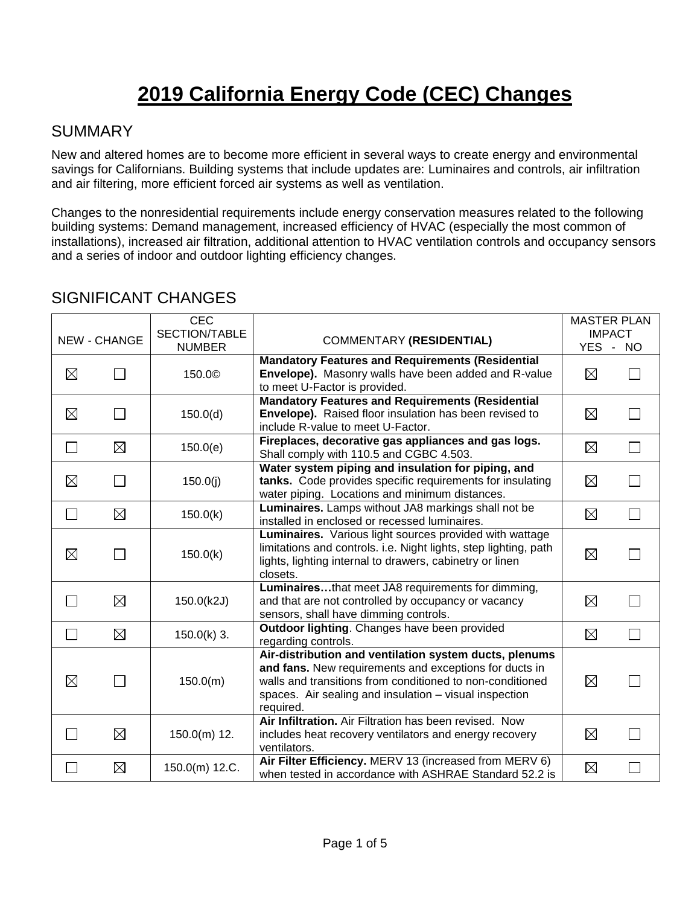# **2019 California Energy Code (CEC) Changes**

#### SUMMARY

New and altered homes are to become more efficient in several ways to create energy and environmental savings for Californians. Building systems that include updates are: Luminaires and controls, air infiltration and air filtering, more efficient forced air systems as well as ventilation.

Changes to the nonresidential requirements include energy conservation measures related to the following building systems: Demand management, increased efficiency of HVAC (especially the most common of installations), increased air filtration, additional attention to HVAC ventilation controls and occupancy sensors and a series of indoor and outdoor lighting efficiency changes.

|                          | <b>NEW - CHANGE</b> | CEC<br>SECTION/TABLE<br><b>NUMBER</b> | <b>COMMENTARY (RESIDENTIAL)</b>                                                                                                                                                                                                                      | <b>YES</b>  | <b>MASTER PLAN</b><br><b>IMPACT</b><br>$\sim$<br><b>NO</b> |
|--------------------------|---------------------|---------------------------------------|------------------------------------------------------------------------------------------------------------------------------------------------------------------------------------------------------------------------------------------------------|-------------|------------------------------------------------------------|
| $\boxtimes$              |                     | 150.0 <sup>c</sup>                    | <b>Mandatory Features and Requirements (Residential</b><br><b>Envelope).</b> Masonry walls have been added and R-value<br>to meet U-Factor is provided.                                                                                              | $\boxtimes$ |                                                            |
| $\boxtimes$              |                     | 150.0(d)                              | <b>Mandatory Features and Requirements (Residential</b><br>Envelope). Raised floor insulation has been revised to<br>include R-value to meet U-Factor.                                                                                               | $\boxtimes$ |                                                            |
| $\overline{\phantom{0}}$ | $\boxtimes$         | 150.0(e)                              | Fireplaces, decorative gas appliances and gas logs.<br>Shall comply with 110.5 and CGBC 4.503.                                                                                                                                                       | $\boxtimes$ |                                                            |
| $\boxtimes$              | $\Box$              | 150.0(j)                              | Water system piping and insulation for piping, and<br>tanks. Code provides specific requirements for insulating<br>water piping. Locations and minimum distances.                                                                                    | $\boxtimes$ |                                                            |
| $\Box$                   | ⊠                   | 150.0(k)                              | Luminaires. Lamps without JA8 markings shall not be<br>installed in enclosed or recessed luminaires.                                                                                                                                                 | $\boxtimes$ |                                                            |
| $\boxtimes$              |                     | 150.0(k)                              | Luminaires. Various light sources provided with wattage<br>limitations and controls. i.e. Night lights, step lighting, path<br>lights, lighting internal to drawers, cabinetry or linen<br>closets.                                                  | $\boxtimes$ |                                                            |
|                          | $\boxtimes$         | 150.0(k2J)                            | Luminairesthat meet JA8 requirements for dimming,<br>and that are not controlled by occupancy or vacancy<br>sensors, shall have dimming controls.                                                                                                    | $\boxtimes$ |                                                            |
| П                        | ⊠                   | $150.0(k)$ 3.                         | Outdoor lighting. Changes have been provided<br>regarding controls.                                                                                                                                                                                  | $\boxtimes$ |                                                            |
| $\boxtimes$              |                     | 150.0(m)                              | Air-distribution and ventilation system ducts, plenums<br>and fans. New requirements and exceptions for ducts in<br>walls and transitions from conditioned to non-conditioned<br>spaces. Air sealing and insulation - visual inspection<br>required. | $\boxtimes$ |                                                            |
|                          | $\boxtimes$         | $150.0(m)$ 12.                        | Air Infiltration. Air Filtration has been revised. Now<br>includes heat recovery ventilators and energy recovery<br>ventilators.                                                                                                                     | $\boxtimes$ |                                                            |
| $\mathbb{R}^n$           | $\boxtimes$         | 150.0(m) 12.C.                        | Air Filter Efficiency. MERV 13 (increased from MERV 6)<br>when tested in accordance with ASHRAE Standard 52.2 is                                                                                                                                     | $\boxtimes$ |                                                            |

#### SIGNIFICANT CHANGES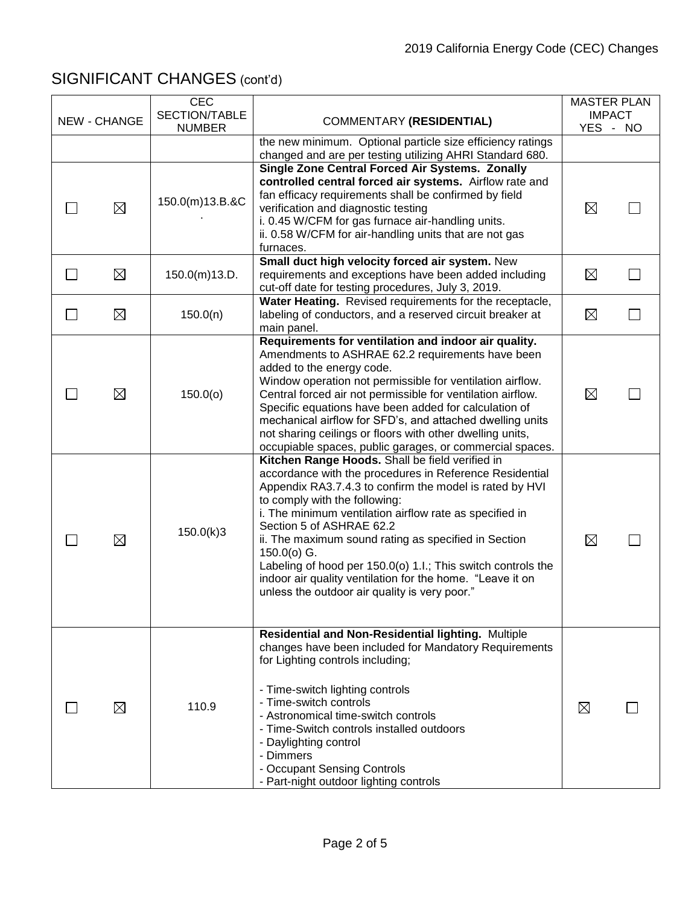| <b>NEW - CHANGE</b> |             | <b>CEC</b><br>SECTION/TABLE | <b>COMMENTARY (RESIDENTIAL)</b>                                                                                        | <b>MASTER PLAN</b><br><b>IMPACT</b> |  |
|---------------------|-------------|-----------------------------|------------------------------------------------------------------------------------------------------------------------|-------------------------------------|--|
|                     |             | <b>NUMBER</b>               |                                                                                                                        | YES - NO                            |  |
|                     |             |                             | the new minimum. Optional particle size efficiency ratings<br>changed and are per testing utilizing AHRI Standard 680. |                                     |  |
|                     |             |                             | Single Zone Central Forced Air Systems. Zonally                                                                        |                                     |  |
|                     |             |                             | controlled central forced air systems. Airflow rate and                                                                |                                     |  |
|                     |             | 150.0(m)13.B.&C             | fan efficacy requirements shall be confirmed by field                                                                  |                                     |  |
|                     | ⊠           |                             | verification and diagnostic testing                                                                                    | $\boxtimes$                         |  |
|                     |             |                             | i. 0.45 W/CFM for gas furnace air-handling units.<br>ii. 0.58 W/CFM for air-handling units that are not gas            |                                     |  |
|                     |             |                             | furnaces.                                                                                                              |                                     |  |
|                     |             |                             | Small duct high velocity forced air system. New                                                                        |                                     |  |
|                     | ⊠           | 150.0(m)13.D.               | requirements and exceptions have been added including                                                                  | $\boxtimes$                         |  |
|                     |             |                             | cut-off date for testing procedures, July 3, 2019.                                                                     |                                     |  |
|                     |             |                             | Water Heating. Revised requirements for the receptacle,                                                                |                                     |  |
|                     | $\boxtimes$ | 150.0(n)                    | labeling of conductors, and a reserved circuit breaker at<br>main panel.                                               | $\boxtimes$                         |  |
|                     |             |                             | Requirements for ventilation and indoor air quality.                                                                   |                                     |  |
|                     |             |                             | Amendments to ASHRAE 62.2 requirements have been                                                                       |                                     |  |
|                     |             |                             | added to the energy code.                                                                                              |                                     |  |
|                     |             |                             | Window operation not permissible for ventilation airflow.                                                              |                                     |  |
|                     | $\boxtimes$ | 150.0(0)                    | Central forced air not permissible for ventilation airflow.                                                            | $\boxtimes$                         |  |
|                     |             |                             | Specific equations have been added for calculation of<br>mechanical airflow for SFD's, and attached dwelling units     |                                     |  |
|                     |             |                             | not sharing ceilings or floors with other dwelling units,                                                              |                                     |  |
|                     |             |                             | occupiable spaces, public garages, or commercial spaces.                                                               |                                     |  |
|                     |             |                             | Kitchen Range Hoods. Shall be field verified in                                                                        |                                     |  |
|                     |             |                             | accordance with the procedures in Reference Residential                                                                |                                     |  |
|                     |             |                             | Appendix RA3.7.4.3 to confirm the model is rated by HVI                                                                |                                     |  |
|                     |             |                             | to comply with the following:<br>i. The minimum ventilation airflow rate as specified in                               |                                     |  |
|                     |             |                             | Section 5 of ASHRAE 62.2                                                                                               |                                     |  |
|                     | $\boxtimes$ | 150.0(k)3                   | ii. The maximum sound rating as specified in Section                                                                   | $\boxtimes$                         |  |
|                     |             |                             | $150.0(0)$ G.                                                                                                          |                                     |  |
|                     |             |                             | Labeling of hood per 150.0(o) 1.I.; This switch controls the                                                           |                                     |  |
|                     |             |                             | indoor air quality ventilation for the home. "Leave it on<br>unless the outdoor air quality is very poor."             |                                     |  |
|                     |             |                             |                                                                                                                        |                                     |  |
|                     |             |                             |                                                                                                                        |                                     |  |
|                     |             |                             | Residential and Non-Residential lighting. Multiple                                                                     |                                     |  |
|                     |             |                             | changes have been included for Mandatory Requirements                                                                  |                                     |  |
|                     |             |                             | for Lighting controls including;                                                                                       |                                     |  |
|                     |             |                             |                                                                                                                        |                                     |  |
|                     | ⊠           | 110.9                       | - Time-switch lighting controls<br>- Time-switch controls                                                              |                                     |  |
|                     |             |                             | - Astronomical time-switch controls                                                                                    | ⊠                                   |  |
|                     |             |                             | - Time-Switch controls installed outdoors                                                                              |                                     |  |
|                     |             |                             | - Daylighting control                                                                                                  |                                     |  |
|                     |             |                             | - Dimmers                                                                                                              |                                     |  |
|                     |             |                             | - Occupant Sensing Controls                                                                                            |                                     |  |
|                     |             |                             | - Part-night outdoor lighting controls                                                                                 |                                     |  |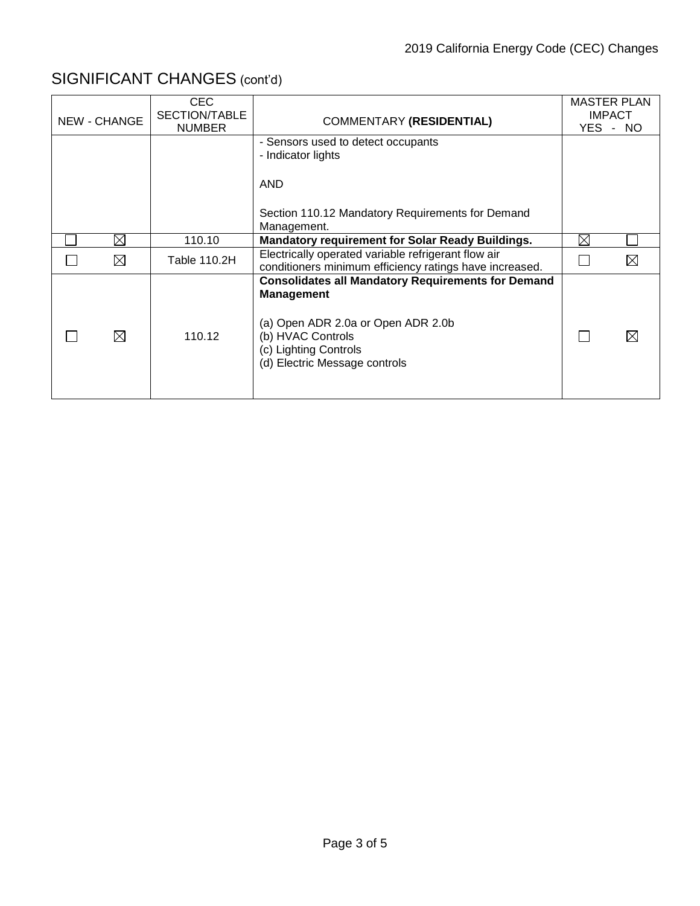| <b>NEW - CHANGE</b> | CEC<br>SECTION/TABLE<br><b>NUMBER</b> | <b>COMMENTARY (RESIDENTIAL)</b>                                                                                                                                                                     |             | <b>MASTER PLAN</b><br><b>IMPACT</b><br>YES - NO |
|---------------------|---------------------------------------|-----------------------------------------------------------------------------------------------------------------------------------------------------------------------------------------------------|-------------|-------------------------------------------------|
|                     |                                       | - Sensors used to detect occupants<br>- Indicator lights                                                                                                                                            |             |                                                 |
|                     |                                       | <b>AND</b>                                                                                                                                                                                          |             |                                                 |
|                     |                                       | Section 110.12 Mandatory Requirements for Demand<br>Management.                                                                                                                                     |             |                                                 |
| $\boxtimes$         | 110.10                                | <b>Mandatory requirement for Solar Ready Buildings.</b>                                                                                                                                             | $\boxtimes$ |                                                 |
| ⊠                   | Table 110.2H                          | Electrically operated variable refrigerant flow air<br>conditioners minimum efficiency ratings have increased.                                                                                      |             |                                                 |
| ⊠                   | 110.12                                | <b>Consolidates all Mandatory Requirements for Demand</b><br><b>Management</b><br>(a) Open ADR 2.0a or Open ADR 2.0b<br>(b) HVAC Controls<br>(c) Lighting Controls<br>(d) Electric Message controls |             |                                                 |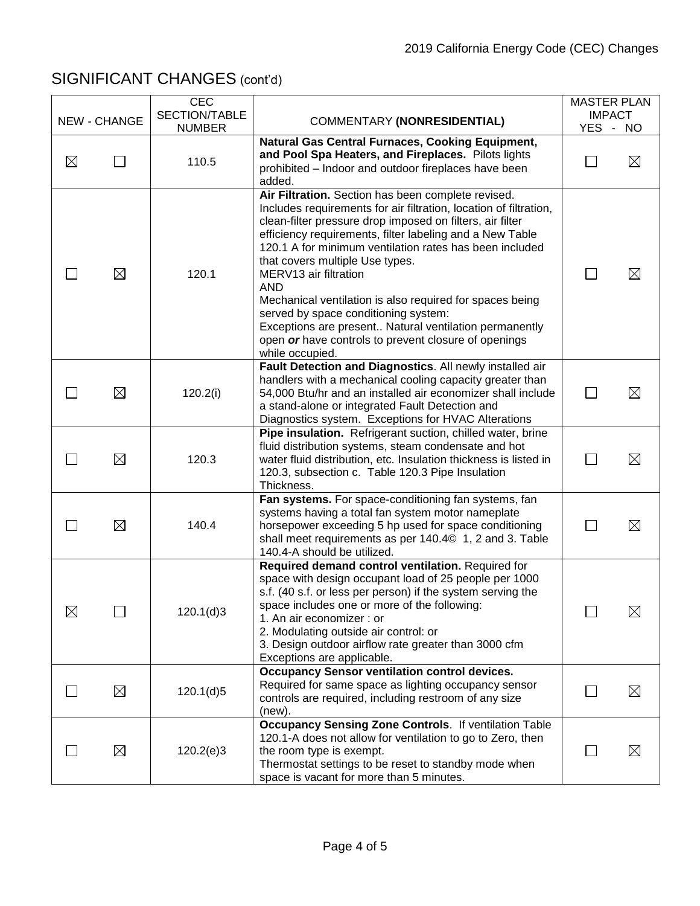|             |              | <b>CEC</b>                     |                                                                                                                                                                                                                                                                                                                                                                                                                                                                                                                                                                                                                                | <b>MASTER PLAN</b>        |             |
|-------------|--------------|--------------------------------|--------------------------------------------------------------------------------------------------------------------------------------------------------------------------------------------------------------------------------------------------------------------------------------------------------------------------------------------------------------------------------------------------------------------------------------------------------------------------------------------------------------------------------------------------------------------------------------------------------------------------------|---------------------------|-------------|
|             | NEW - CHANGE | SECTION/TABLE<br><b>NUMBER</b> | <b>COMMENTARY (NONRESIDENTIAL)</b>                                                                                                                                                                                                                                                                                                                                                                                                                                                                                                                                                                                             | <b>IMPACT</b><br>YES - NO |             |
| $\boxtimes$ |              | 110.5                          | Natural Gas Central Furnaces, Cooking Equipment,<br>and Pool Spa Heaters, and Fireplaces. Pilots lights<br>prohibited - Indoor and outdoor fireplaces have been<br>added.                                                                                                                                                                                                                                                                                                                                                                                                                                                      |                           | $\boxtimes$ |
|             | $\boxtimes$  | 120.1                          | Air Filtration. Section has been complete revised.<br>Includes requirements for air filtration, location of filtration,<br>clean-filter pressure drop imposed on filters, air filter<br>efficiency requirements, filter labeling and a New Table<br>120.1 A for minimum ventilation rates has been included<br>that covers multiple Use types.<br>MERV13 air filtration<br><b>AND</b><br>Mechanical ventilation is also required for spaces being<br>served by space conditioning system:<br>Exceptions are present Natural ventilation permanently<br>open or have controls to prevent closure of openings<br>while occupied. |                           | ⊠           |
|             | $\boxtimes$  | 120.2(i)                       | Fault Detection and Diagnostics. All newly installed air<br>handlers with a mechanical cooling capacity greater than<br>54,000 Btu/hr and an installed air economizer shall include<br>a stand-alone or integrated Fault Detection and<br>Diagnostics system. Exceptions for HVAC Alterations                                                                                                                                                                                                                                                                                                                                  | $\mathsf{L}$              | $\boxtimes$ |
|             | ⊠            | 120.3                          | Pipe insulation. Refrigerant suction, chilled water, brine<br>fluid distribution systems, steam condensate and hot<br>water fluid distribution, etc. Insulation thickness is listed in<br>120.3, subsection c. Table 120.3 Pipe Insulation<br>Thickness.                                                                                                                                                                                                                                                                                                                                                                       |                           | $\boxtimes$ |
|             | $\boxtimes$  | 140.4                          | Fan systems. For space-conditioning fan systems, fan<br>systems having a total fan system motor nameplate<br>horsepower exceeding 5 hp used for space conditioning<br>shall meet requirements as per 140.40 1, 2 and 3. Table<br>140.4-A should be utilized.                                                                                                                                                                                                                                                                                                                                                                   | <b>Contract</b>           | $\boxtimes$ |
| $\boxtimes$ |              | 120.1(d)3                      | Required demand control ventilation. Required for<br>space with design occupant load of 25 people per 1000<br>s.f. (40 s.f. or less per person) if the system serving the<br>space includes one or more of the following:<br>1. An air economizer : or<br>2. Modulating outside air control: or<br>3. Design outdoor airflow rate greater than 3000 cfm<br>Exceptions are applicable.                                                                                                                                                                                                                                          | 冖                         | $\boxtimes$ |
|             | $\boxtimes$  | 120.1(d)5                      | <b>Occupancy Sensor ventilation control devices.</b><br>Required for same space as lighting occupancy sensor<br>controls are required, including restroom of any size<br>(new).                                                                                                                                                                                                                                                                                                                                                                                                                                                |                           | $\boxtimes$ |
|             | ⊠            | 120.2(e)3                      | <b>Occupancy Sensing Zone Controls. If ventilation Table</b><br>120.1-A does not allow for ventilation to go to Zero, then<br>the room type is exempt.<br>Thermostat settings to be reset to standby mode when<br>space is vacant for more than 5 minutes.                                                                                                                                                                                                                                                                                                                                                                     |                           | $\boxtimes$ |